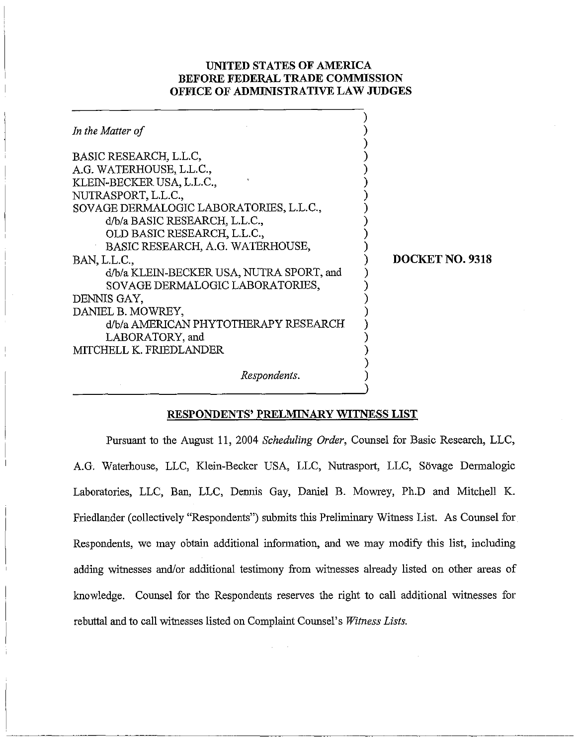## **UNITED STATES OF AMERICA BEFORE FEDERAL TRADE COMMISSION OFFICE OF ADMINISTRATIVE LAW JUDGES**

| In the Matter of                                                                                                                                                                                                                                                      |                 |
|-----------------------------------------------------------------------------------------------------------------------------------------------------------------------------------------------------------------------------------------------------------------------|-----------------|
| BASIC RESEARCH, L.L.C,<br>A.G. WATERHOUSE, L.L.C.,<br>KLEIN-BECKER USA, L.L.C.,<br>NUTRASPORT, L.L.C.,<br>SOVAGE DERMALOGIC LABORATORIES, L.L.C.,<br>d/b/a BASIC RESEARCH, L.L.C.,<br>OLD BASIC RESEARCH, L.L.C.,<br>BASIC RESEARCH, A.G. WATERHOUSE,<br>BAN, L.L.C., | DOCKET NO. 9318 |
| d/b/a KLEIN-BECKER USA, NUTRA SPORT, and<br>SOVAGE DERMALOGIC LABORATORIES,<br>DENNIS GAY.<br>DANIEL B. MOWREY,<br>d/b/a AMERICAN PHYTOTHERAPY RESEARCH<br>LABORATORY, and<br>MITCHELL K. FRIEDLANDER                                                                 |                 |
| Respondents.                                                                                                                                                                                                                                                          |                 |

### **RESPONDENTS' PRELMINARY WITNESS LIST**

Pursuant to the August 11, 2004 *Scheduling Order,* Counsel for Basic Research, LLC, A.G. Waterhouse, LLC, Klein-Becker USA, LLC, Nutrasport, LLC, Sövage Dermalogic Laboratories, LLC, Ban, LLC, Dennis Gay, Daniel B. Mowrey, Ph.D and Mitchell K. Friedlander (collectively "Respondents") submits this Preliminary Witness List. As Counsel for Respondents, we may obtain additional information, and we may modify this list, including adding witnesses and/or additional testimony from witnesses already listed on other areas of knowledge. Counsel for the Respondents reserves the right to call additional witnesses for rebuttal and to call witnesses listed on Complaint Counsel's *Witness Lists.*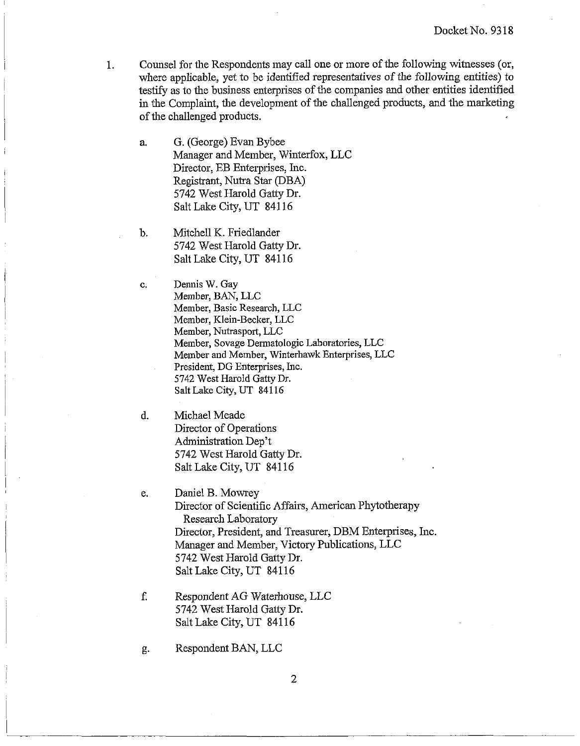- 1. Counsel for the Respondents may call one or more of the following witnesses (or, where applicable, yet to be identified representatives of the following entities) to testify as to the business enterprises of the companies and other entities identified in the Complaint, the development of the challenged products, and the marketing of the challenged products.
	- **a.** G. (George) Evan Bybee Manager and Member, Winterfox, LLC Director, EB Enterprises, Inc. Registrant, Nutra Star (DBA) 5742 West Harold Gatty Dr. Salt Lake City, UT 84116
	- b. Mitchell K. Friedlander 5742 West Harold Gatty Dr. Salt Lake City, UT 841 16
	- c. Demis W. Gay Member, BAN, LLC Member, Basic Research, LLC Member, Klein-Becler, LLC Member, Nutrasport, LLC Member, Sovage Dermatologic Laboratories, LLC Member and Member, Winterhawk Enterprises, LLC President, DG Enterprises, Lnc. 5742 West Harold Gatty Dr. Salt Lake City, UT 841 16
	- d. Michael Meade Director of Operations Administration Dep't 5742 West Harold Gatty Dr. Salt Lake City, UT 841 16
	- e. Daniel B. Mowrey Director of Scientific Affairs, American Phytotherapy Research Laboratory Director, President, and Treasurer, DBM Enterprises, Inc. Manager and Member, Victory Publications, LLC 5742 West Harold Gatty Dr. Salt Lake City, UT 84116
	- f. Respondent AG Waterhouse, LLC 5742 West Harold Gatty Dr. Salt Lake City, UT 84116
	- g. Respondent BAN, LLC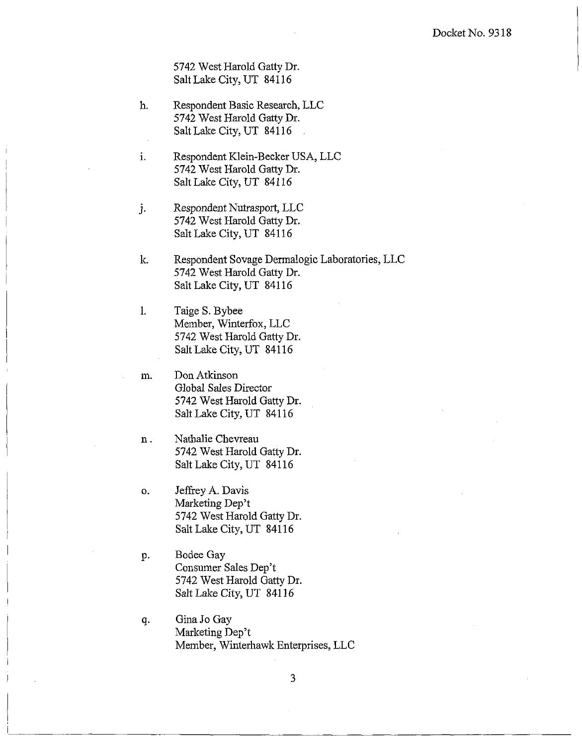5742 West Harold Gatty Dr. Salt Lalce City, UT 84116

11. Respondent Basic Research, LLC 5742 West Harold Gatty Dr. Salt Lalce City, UT 84116  $\mathbb{R}^2$ 

i. Respondent Klein-Becker USA, LLC 5742 West Harold Gatty Dr. Salt Lake City, UT 841 16

j. Respondent Nutrasport, LLC 5742 West Harold Gatty Dr. Salt Lake City, UT 841 16

lc. Respondent Sovage Dermalogic Laboratories, LLC 5742 West Harold Gatty Dr. Salt Lake City, UT 841 16

1. Taige S. Bybee Member, Winterfox, LLC 5742 West Harold Gatty Dr. Salt Lake City, UT 84116

**in.**  Don Atkinson Global Sales Director 5742 West Harold Gatty Dr. Salt Lake City, UT 841 16

Nathalie Chevreau  $n$ . 5742 West Harold Gatty Dr. Salt Lake City, UT 841 16

Jeffrey A. Davis o. Marketing Dep't 5742 West Harold Gatty Dr. Salt Lake City, UT 84116

Bodee Gay p. Consumer Sales Dep't 5742 West Harold Gatty Dr. Salt Lake City, UT 84116

Gina Jo Gay q. Marketing Dep't Member, Winterhawk Enterprises, LLC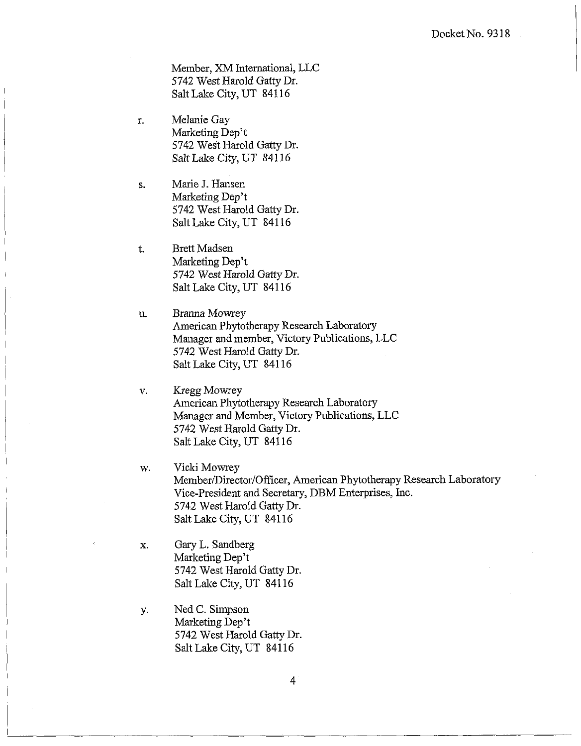Member, XM International, LLC 5742 West Ilarold Gatty Dr. Salt Lake City, UT 841 16

- Melanie Gay r. Marketing Dep't 5742 West IHarold Gatty Dr. Salt Lake City, UT 841 16
- Marie J. Hansen S. Marketing Dep't 5742 West Harold Gatty Dr. Salt Lake City, UT 841 16
- Brett Madsen  $t$ . Marketing Dep't 5742 West Harold Gatty Dr. Salt Lake City, UT 841 16
- Branna Mowrey u. American Phytotherapy Research Laboratory Manager and member, Victory Publications, LLC 5742 West Harold Gatty Dr. Salt Lake City, UT 841 16
- Kregg Mowrey  $V$ . American Phytotherapy Research Laboratory Manager and Member, Victory Publications, LLC 5742 West Harold Gatty Dr. Salt Lake City, UT 841 16
- Vicki Mowrey w. Member/Director/Officer, American Phytotherapy Research Laboratory Vice-president and Secretary, DBM Enterprises, Inc. 5742 West Harold Gatty Dr. Salt Lalce City, UT 84116
- Gary L. Sandberg  $\mathbf{x}$ . Marketing Dep't 5742 West Harold Gatty Dr. Salt Lake City, UT 84116
- Ned C. Simpson у. Marketing Dep't 5742 West Harold Gatty Dr. Salt Lake City, UT 84116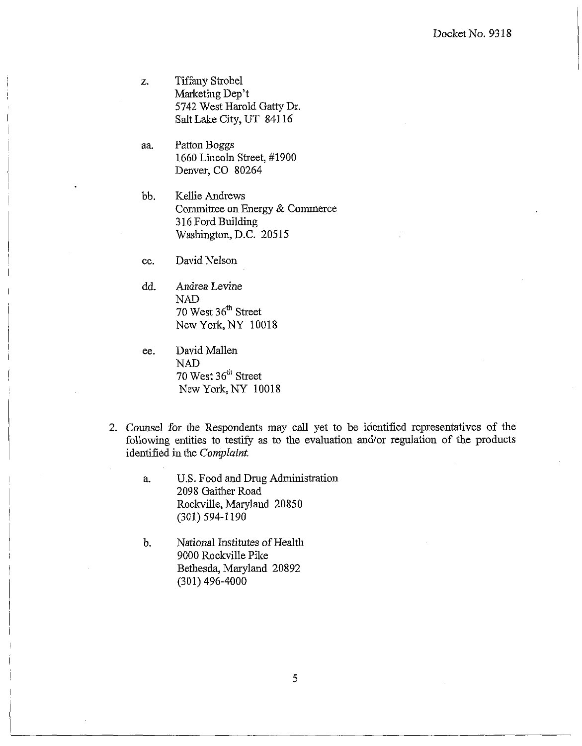- **2.**  Tiffany Strobe1 Marketing Dep't 5742 West Harold Gatty Dr. Salt Lake City, UT 84116
- aa. Patton Boggs 1660 Lincoln Street, #I900 Denver, CO 80264
- bb. Kellie Andrews Conmittee on Energy & Commerce 3 16 Ford Building Washington, D.C. 20515
- CC. David Nelson
- dd. Andrea Levine NAD 70 West 36" Street New York, NY 10018
- ee. David Mallen NAD 70 West 36" Street New York, NY 10018
- 2. Counsel for the Respondents may call yet to be identified representatives of the following entities to testify as to the evaluation and/or regulation of the products identified in the **Complaint.** 
	- a. U.S. Food and Drug Administration 2098 Gaither Road Roclville, Maryland 20850 (301) 594-1 190
	- b. National Institutes of Health 9000 Roclcville Pike Bethesda, Maryland 20892 (301) 496-4000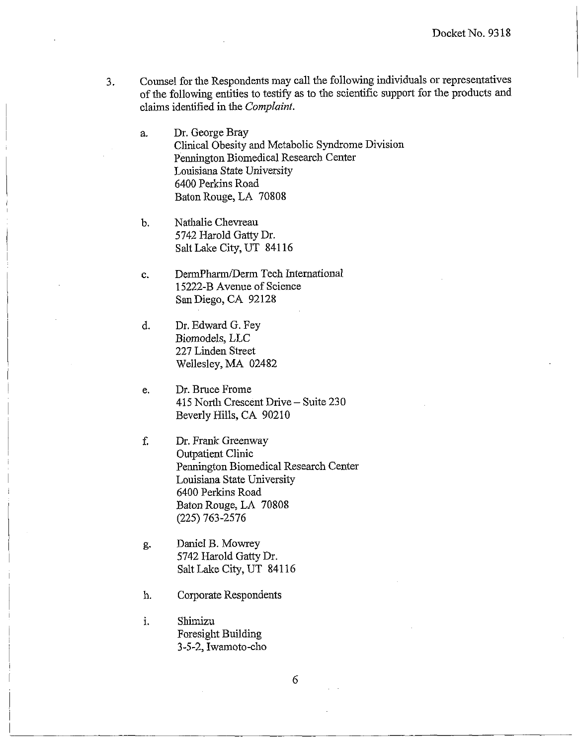**3.** Counsel for the Respondents may call the following individuals or representatives of the following entities to testify as to the scientific support for the products and claims identified in the *Conzplaint.* 

Dr. George Bray a. Clinical Obesity and Metabolic Syndrome Division Pennington Biomedical Research Center Louisiana State University 6400 Perkins Road Baton Rouge, LA 70808

Nathalie Chevreau  $\mathbf{b}$ . 5742 Harold Gatty Dr. Salt Lake City, UT 841 16

DermPharm/Derm Tech International c. 15222-B Avenue of Science San Diego, CA 92128

d. Dr. Edward G. Fey Biomodels, LLC 227 Linden Street Wellesley, MA 02482

Dr. Bruce Frome e. 415 North Crescent Drive - Suite 230 Beverly Hills, CA 90210

- f. Dr. Frank Greenway Outpatient Clinic Pennington Biomedical Research Center Louisiana State University 6400 Perkins Road Baton Rouge, LA 70808 (225) 763-2576
- Daniel B. Mowrey g. 5742 Harold Gatty Dr. Salt Lake City, UT 841 16
- Corporate Respondents h.

Shimizu i. Foresight Building 3-5-2, Iwamoto-cho

6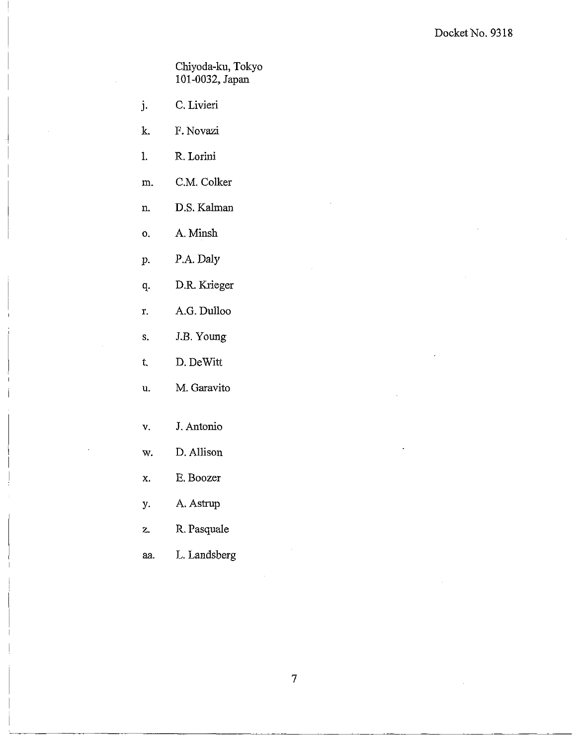Chiyoda-ku, Tokyo 101-0032, Japan

- j. C. Livieri
- k. F. Novazi
- R. Lorini  $\mathbf{l}$ .
- C.M. Colker m.
- D.S. Kalman n.
- A. Minsh o.
- P.A. Daly  $\mathbf{p}$ .
- D.R. Krieger q.
- A.G. Dulloo r.
- J.B. Young  $S_{\star}$
- $t,$ D. DeWitt
- M. Garavito u.
- v. **J.** Antonio
- w. D. Allison
- **x.** E. Boozer
- y. A. Astrup
- **z.** R. Pasquale
- aa. L. Landsberg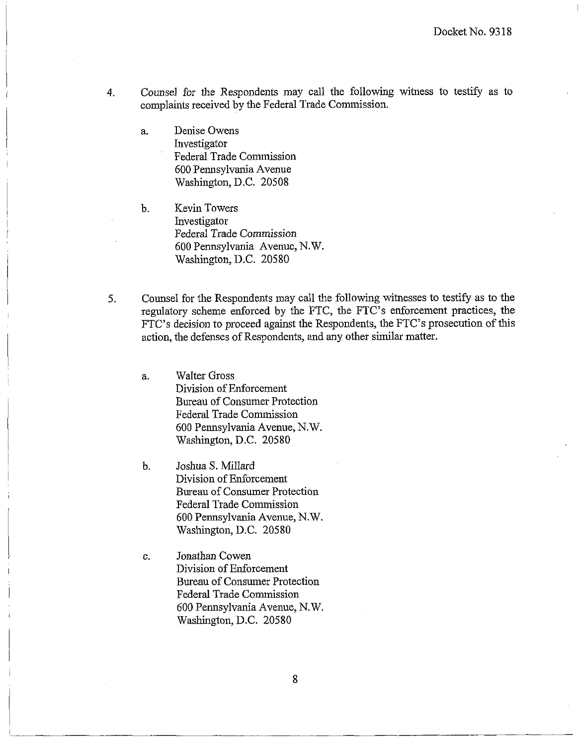- 4. Counsel for the Respondents may call the following witness to testify as to complaints received by the Federal Trade Connnission.
	- a. Denise Owens hvestigator Federal Trade Conmission 600 Pennsylvania Avenue Washington, D.C. 20508
	- b. Kevin Towers Investigator Federal Trade Commission 600 Pennsylvania Avenue, N.W. Washington, D.C. 20580
- 5. Counsel for the Respondents may call the following witnesses to testify as to the regulatory scheme enforced by the FTC, the FTC's enforcement practices, the FTC's decision to proceed against the Respondents, the FTC's prosecution of this action, the defenses of Respondents, and any other similar matter.
	- a. Walter Gross Division of Enforcement Bureau of Consumer Protection Federal Trade Commission 600 Pennsylvania Avenue, N.W. Washington, D.C. 20580
	- b. Joshua S. Millard Division of Enforcement Bureau of Consumer Protection Federal Trade Commission 600 Pennsylvania Avenue, N.W. Washington, D.C. 20580
	- c. Jonathan Cowen Division of Enforcement Bureau of Consumer Protection Federal Trade Conmission 600 Pennsylvania Avenue, N. W. Washington, D.C. 20580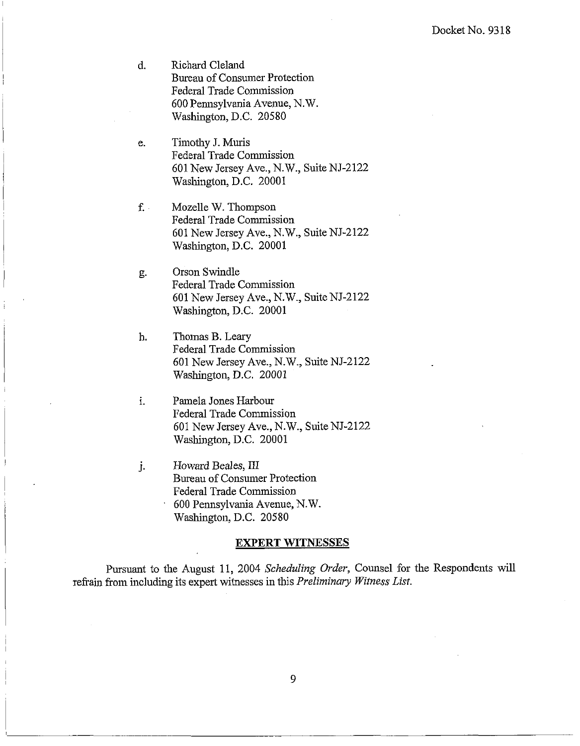- $\mathbf{d}$ . Richard Cleland Bureau of Consumer Protection Federal Trade Commission 600 Pennsylvania Avenue, N.W. Washington, D.C. 20580
- Timothy J. Muris e. Federal Trade Commission 601 New Jersey Ave., N.W., SuiteNJ-2122 Washington, D.C. 20001
- Mozelle W. Thompson  $f_{\cdot}$ . Federal Trade Conunission 601 New Jersey Ave., N.W., Suite NJ-2122 Washington, D.C. 20001
- Orson Swindle g. Federal Trade Conmission 601 New Jersey Ave., N.W., Suite NJ-2122 Washington, D.C. 20001
- h. Thomas B. Leary Federal Trade Commission 601 New Jersey Ave., N.W., Suite NJ-2122 Washington, D.C. 20001
- i. Pamela Jones Harbour Federal Trade Commission 601 New Jersey Ave., N.W., Suite NJ-2122 Washington, D.C. 20001
- j. Howard Beales, III Bureau of Consumer Protection Federal Trade Commission 600 Pennsylvania Avenue, N.W. Washington, D.C. 20580

#### **EXPERT WITNESSES**

Pursuant to the August 11, 2004 Scheduling Order, Counsel for the Respondents will refrain from including its expert witnesses in this *Preliminary Witness List*.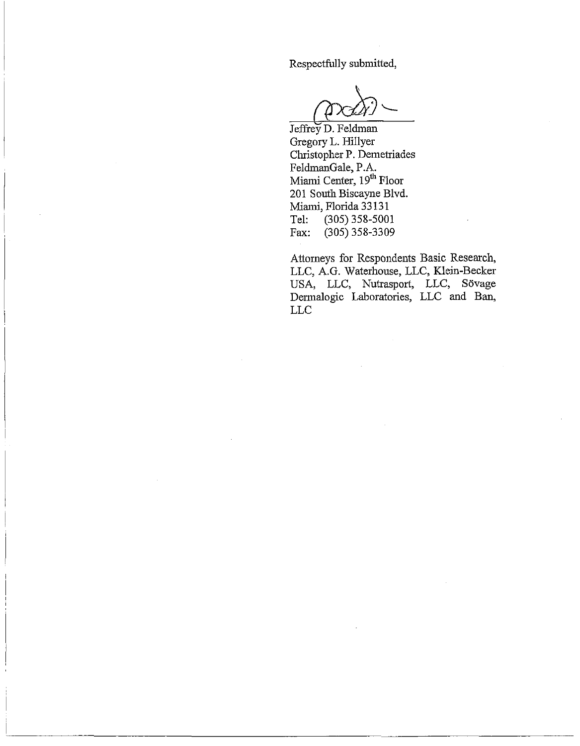Respectfully submitted,

Jeffrey D. Feldman Gregory L. Hillyer Christopher P. Demetriades FeldmanGale, P.A. Miami Center, 19<sup>th</sup> Floor 201 South Biscayne Blvd. Miami, Florida 33 131 Tel: (305) 358-5001 Fax: (305) 358-3309

Attorneys for Respondents Basic Research, LLC, A.G. Waterhouse, LLC, Klein-Becker USA, LLC, Nutrasport, LLC, Sovage Dermalogic Laboratories, LLC and Ban, LLC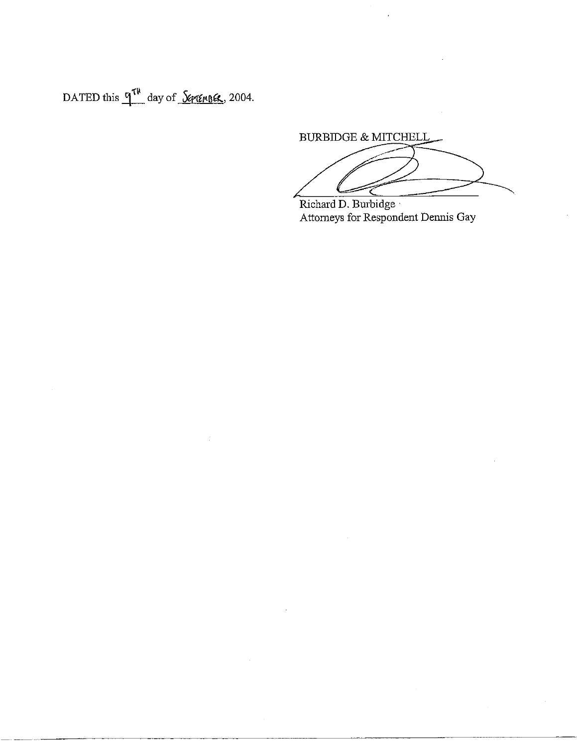DATED this  $q^{\tau\mu}$  day of *<u>September</u>*, 2004.

BURBIDGE & MITCHELL

Richard D. Burbidge Attorneys for Respondent Dennis Gay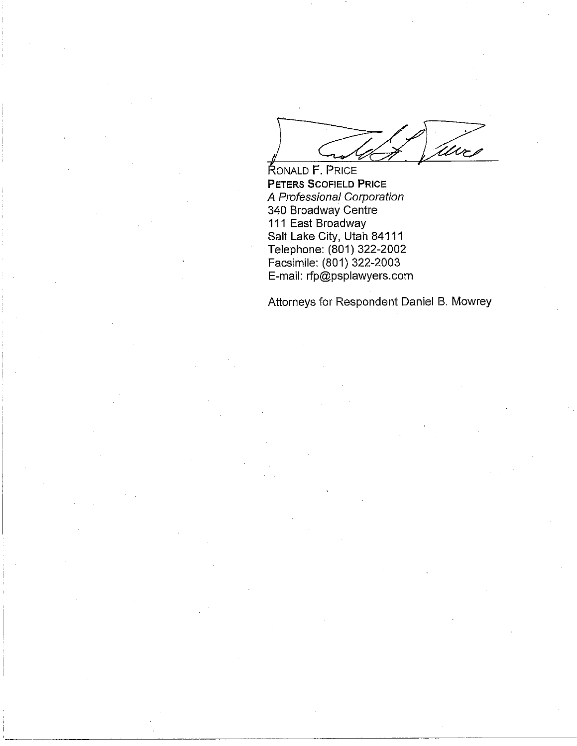RONALD F. PRICE<br> **CONALD F. PRICE**<br>
PETERS SCOFIELD PRICE<br>
A Professional Corporation<br>
340 Broadway Centre<br>
Salt Lake City, Utah 84111<br>
Telephone: (801) 322-2002<br>
Facsimile: (801) 322-2003<br>
E-mail: rfp@psplawyers.com **PETERS SCOFIELD PRICE A** Professional Corporation 340 Broadway Centre 111 East Broadway Salt Lake City, Utah 84111 Telephone: (801) 322-2002 Facsimile: (801) 322-2003 E-mail: rfp@psplawyers.com

Attorneys for Respondent Daniel B. Mowrey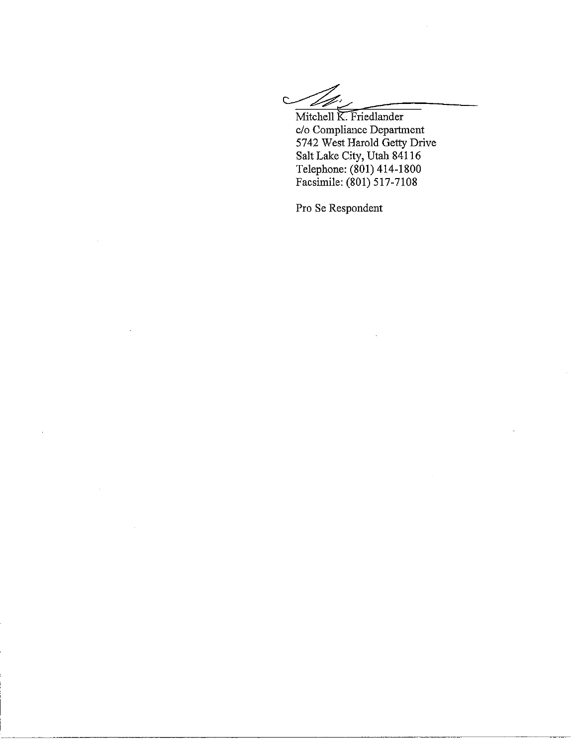Mitchell K. Friedlander

Mitchell K. Friedlander c/o Compliance Department 5742 West Harold Getty Drive Salt Lake City, Utah 841 16 Telephone: (801) 414-1 800 Facsimile: (801) 517-7108

Pro Se Respondent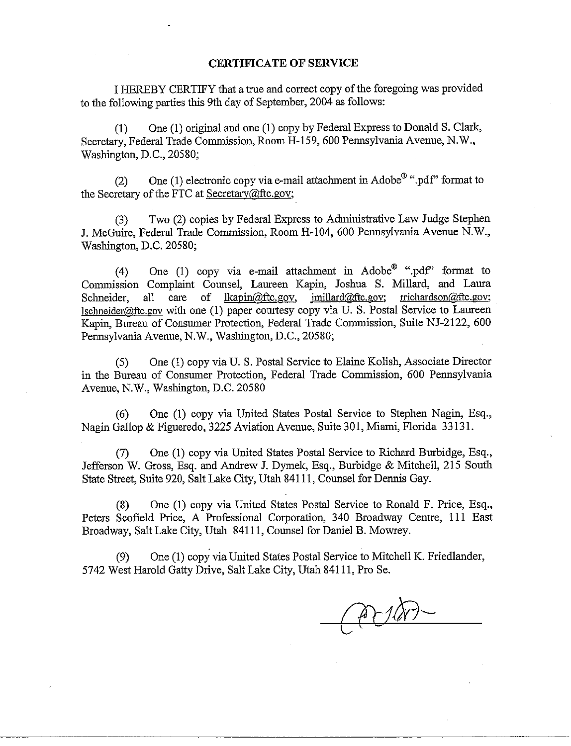#### **CERTIFICATE OF SERVICE**

I HEREBY CERTIFY that a true and correct copy of the foregoing was provided to the following parlies this 9th day of September, 2004 as follows:

(1) One (1) original aud one (1) copy by Federal Express to Donald S. Clark, Secretary, Federal Trade Commission, Room H-159, 600 Pennsylvania Avenue, N.W., Washington, D.C., 20580;

(2) One (1) electronic copy via e-mail attachment in Adobe<sup>®</sup> ".pdf" format to the Secretary of the FTC at Secretary@ftc.gov;

(3) Two (2) copies by Federal Express to Administrative Law Judge Stephen J. McGuire, Federal Trade Commission, Room H-104, 600 Pennsylvania Avenue N.W., Washington, D.C. 20580;

(4) One (1) copy via e-mail attachment in Adobe<sup>®</sup> ".pdf" format to Commission Complaint Counsel, Laureen Kapin, Joshua S. Millard, and Laura Schneider, all care of lkapin@ftc.gov, jmillard@ftc.gov; rrichardson@ftc.gov;  $Ischneider@ftc.gov$  with one (1) paper courtesy copy via U. S. Postal Service to Laureen Kapin, Bureau of Consumer Protection, Federal Trade Commission, Suite NJ-2122, 600 Pennsylvania Avenue, N.W., Washington, D.C., 20580;

(5) One (1) copy via U. S. Postal Service to Elaine Kolish, Associate Director in the Bureau of Consumer Protection, Federal Trade Commission, 600 Pennsylvania Avenue, N.W., Washington, D.C. 20580

(6) One (1) copy via United States Postal Service to Stephen Nagin, Esq., Nagin Gallop & Figueredo, 3225 Aviation Avenue, Suite 301, Miami, Florida 33 131.

(7) One (1) copy via United States Postal Service to Richard Burbidge, Esq., Jefferson W. Gross, Esq. and Andrew J. Dymel, Esq., Burbidge & Mitchell, 215 South State Street, Suite 920, Salt Lake City, Utah 841 11, Counsel for Dennis Gay.

(8) One (1) copy via United States Postal Service to Ronald F. Price, Esq., Peters Scofield Price, A Professional Corporation, 340 Broadway Centre, 111 East Broadway, Salt Lake City, Utah 841 11, Counsel for Daniel B. Mowrey.

(9) One (1) copy via United States Postal Service to Mitchell K. Friedlander, 5742 West Harold Gatty Drive, Salt Lake City, Utah 841 11, Pro Se.

priv.